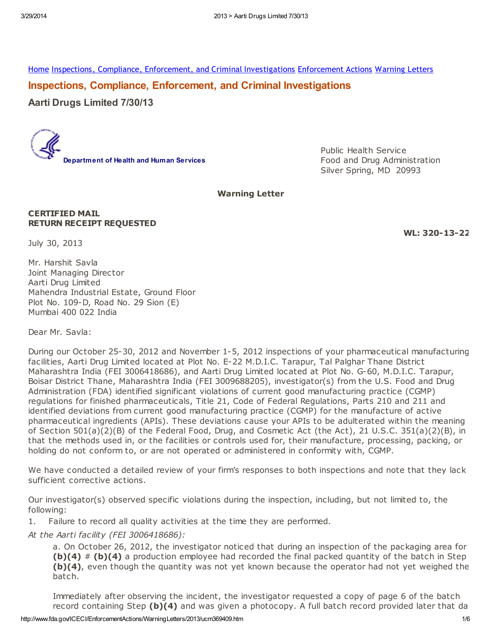[Home](http://www.fda.gov/default.htm) Inspections, Compliance, Enforcement, and Criminal [Investigations](http://www.fda.gov/ICECI/default.htm) [Enforcement](http://www.fda.gov/ICECI/EnforcementActions/default.htm) Actions [Warning](http://www.fda.gov/ICECI/EnforcementActions/WarningLetters/default.htm) Letters

Inspections, Compliance, Enforcement, and Criminal Investigations

Aarti Drugs Limited 7/30/13



Public Health Service Food and Drug Administration Silver Spring, MD 20993

## Warning Letter

### CERTIFIED MAIL RETURN RECEIPT REQUESTED

WL: 320-13-22

July 30, 2013

Mr. Harshit Savla Joint Managing Director Aarti Drug Limited Mahendra Industrial Estate, Ground Floor Plot No. 109-D, Road No. 29 Sion (E) Mumbai 400 022 India

Dear Mr. Savla:

During our October 25-30, 2012 and November 1-5, 2012 inspections of your pharmaceutical manufacturing facilities, Aarti Drug Limited located at Plot No. E-22 M.D.I.C. Tarapur, Tal Palghar Thane District Maharashtra India (FEI 3006418686), and Aarti Drug Limited located at Plot No. G-60, M.D.I.C. Tarapur, Boisar District Thane, Maharashtra India (FEI 3009688205), investigator(s) from the U.S. Food and Drug Administration (FDA) identified significant violations of current good manufacturing practice (CGMP) regulations for finished pharmaceuticals, Title 21, Code of Federal Regulations, Parts 210 and 211 and identified deviations from current good manufacturing practice (CGMP) for the manufacture of active pharmaceutical ingredients (APIs). These deviations cause your APIs to be adulterated within the meaning of Section 501(a)(2)(B) of the Federal Food, Drug, and Cosmetic Act (the Act), 21 U.S.C. 351(a)(2)(B), in that the methods used in, or the facilities or controls used for, their manufacture, processing, packing, or holding do not conform to, or are not operated or administered in conformity with, CGMP.

We have conducted a detailed review of your firm's responses to both inspections and note that they lack sufficient corrective actions.

Our investigator(s) observed specific violations during the inspection, including, but not limited to, the following:

1. Failure to record all quality activities at the time they are performed.

At the Aarti facility (FEI 3006418686):

a. On October 26, 2012, the investigator noticed that during an inspection of the packaging area for (b)(4)  $#$  (b)(4) a production employee had recorded the final packed quantity of the batch in Step (b)(4), even though the quantity was not yet known because the operator had not yet weighed the batch.

Immediately after observing the incident, the investigator requested a copy of page 6 of the batch record containing Step  $(b)(4)$  and was given a photocopy. A full batch record provided later that day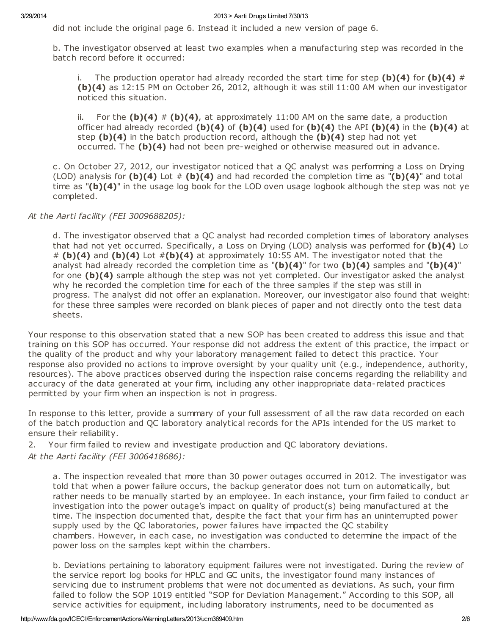did not include the original page 6. Instead it included a new version of page 6.

b. The investigator observed at least two examples when a manufacturing step was recorded in the batch record before it occurred:

i. The production operator had already recorded the start time for step (b)(4) for (b)(4) # (b)(4) as 12:15 PM on October 26, 2012, although it was still 11:00 AM when our investigator noticed this situation.

ii. For the (b)(4) # (b)(4), at approximately 11:00 AM on the same date, a production officer had already recorded (b)(4) of (b)(4) used for (b)(4) the API (b)(4) in the (b)(4) at step  $(b)(4)$  in the batch production record, although the  $(b)(4)$  step had not yet occurred. The  $(b)(4)$  had not been pre-weighed or otherwise measured out in advance.

c. On October 27, 2012, our investigator noticed that a QC analyst was performing a Loss on Drying (LOD) analysis for (b)(4) Lot  $#$  (b)(4) and had recorded the completion time as "(b)(4)" and total time as " $(b)(4)$ " in the usage log book for the LOD oven usage logbook although the step was not ye completed.

At the Aarti facility (FEI 3009688205):

d. The investigator observed that a QC analyst had recorded completion times of laboratory analyses that had not yet occurred. Specifically, a Loss on Drying (LOD) analysis was performed for  $(b)(4)$  Lot  $# (b)(4)$  and  $(b)(4)$  Lot  $# (b)(4)$  at approximately 10:55 AM. The investigator noted that the analyst had already recorded the completion time as " $(b)(4)$ " for two  $(b)(4)$  samples and " $(b)(4)$ " for one  $(b)(4)$  sample although the step was not yet completed. Our investigator asked the analyst why he recorded the completion time for each of the three samples if the step was still in progress. The analyst did not offer an explanation. Moreover, our investigator also found that weight: for these three samples were recorded on blank pieces of paper and not directly onto the test data sheets.

Your response to this observation stated that a new SOP has been created to address this issue and that training on this SOP has occurred. Your response did not address the extent of this practice, the impact on the quality of the product and why your laboratory management failed to detect this practice. Your response also provided no actions to improve oversight by your quality unit (e.g., independence, authority, resources). The above practices observed during the inspection raise concerns regarding the reliability and accuracy of the data generated at your firm, including any other inappropriate data-related practices permitted by your firm when an inspection is not in progress.

In response to this letter, provide a summary of your full assessment of all the raw data recorded on each of the batch production and QC laboratory analytical records for the APIs intended for the US market to ensure their reliability.

2. Your firm failed to review and investigate production and QC laboratory deviations. At the Aarti facility (FEI 3006418686):

a. The inspection revealed that more than 30 power outages occurred in 2012. The investigator was told that when a power failure occurs, the backup generator does not turn on automatically, but rather needs to be manually started by an employee. In each instance, your firm failed to conduct an investigation into the power outage's impact on quality of product(s) being manufactured at the time. The inspection documented that, despite the fact that your firm has an uninterrupted power supply used by the QC laboratories, power failures have impacted the QC stability chambers. However, in each case, no investigation was conducted to determine the impact of the power loss on the samples kept within the chambers.

b. Deviations pertaining to laboratory equipment failures were not investigated. During the review of the service report log books for HPLC and GC units, the investigator found many instances of servicing due to instrument problems that were not documented as deviations. As such, your firm failed to follow the SOP 1019 entitled "SOP for Deviation Management." According to this SOP, all service activities for equipment, including laboratory instruments, need to be documented as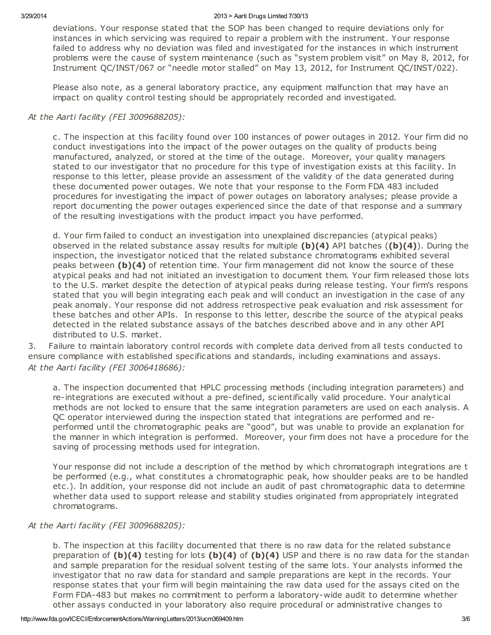#### 3/29/2014 2013 > Aarti Drugs Limited 7/30/13

deviations. Your response stated that the SOP has been changed to require deviations only for instances in which servicing was required to repair a problem with the instrument. Your response failed to address why no deviation was filed and investigated for the instances in which instrument problems were the cause of system maintenance (such as "system problem visit" on May 8, 2012, for Instrument QC/INST/067 or "needle motor stalled" on May 13, 2012, for Instrument QC/INST/022).

Please also note, as a general laboratory practice, any equipment malfunction that may have an impact on quality control testing should be appropriately recorded and investigated.

# At the Aarti facility (FEI 3009688205):

c. The inspection at this facility found over 100 instances of power outages in 2012. Your firm did not conduct investigations into the impact of the power outages on the quality of products being manufactured, analyzed, or stored at the time of the outage. Moreover, your quality managers stated to our investigator that no procedure for this type of investigation exists at this facility. In response to this letter, please provide an assessment of the validity of the data generated during these documented power outages. We note that your response to the Form FDA 483 included procedures for investigating the impact of power outages on laboratory analyses; please provide a report documenting the power outages experienced since the date of that response and a summary of the resulting investigations with the product impact you have performed.

d. Your firm failed to conduct an investigation into unexplained discrepancies (atypical peaks) observed in the related substance assay results for multiple  $(b)(4)$  API batches  $((b)(4))$ . During the inspection, the investigator noticed that the related substance chromatograms exhibited several peaks between (b)(4) of retention time. Your firm management did not know the source of these atypical peaks and had not initiated an investigation to document them. Your firm released those lots to the U.S. market despite the detection of atypical peaks during release testing. Your firm's response stated that you will begin integrating each peak and will conduct an investigation in the case of any peak anomaly. Your response did not address retrospective peak evaluation and risk assessment for these batches and other APIs. In response to this letter, describe the source of the atypical peaks detected in the related substance assays of the batches described above and in any other API distributed to U.S. market.

3. Failure to maintain laboratory control records with complete data derived from all tests conducted to ensure compliance with established specifications and standards, including examinations and assays. At the Aarti facility (FEI 3006418686):

a. The inspection documented that HPLC processing methods (including integration parameters) and re-integrations are executed without a pre-defined, scientifically valid procedure. Your analytical methods are not locked to ensure that the same integration parameters are used on each analysis. A QC operator interviewed during the inspection stated that integrations are performed and reperformed until the chromatographic peaks are "good", but was unable to provide an explanation for the manner in which integration is performed. Moreover, your firm does not have a procedure for the saving of processing methods used for integration.

Your response did not include a description of the method by which chromatograph integrations are to be performed (e.g., what constitutes a chromatographic peak, how shoulder peaks are to be handled etc.). In addition, your response did not include an audit of past chromatographic data to determine whether data used to support release and stability studies originated from appropriately integrated chromatograms.

# At the Aarti facility (FEI 3009688205):

b. The inspection at this facility documented that there is no raw data for the related substance preparation of (b)(4) testing for lots (b)(4) of (b)(4) USP and there is no raw data for the standard and sample preparation for the residual solvent testing of the same lots. Your analysts informed the investigator that no raw data for standard and sample preparations are kept in the records. Your response states that your firm will begin maintaining the raw data used for the assays cited on the Form FDA-483 but makes no commitment to perform a laboratory-wide audit to determine whether other assays conducted in your laboratory also require procedural or administrative changes to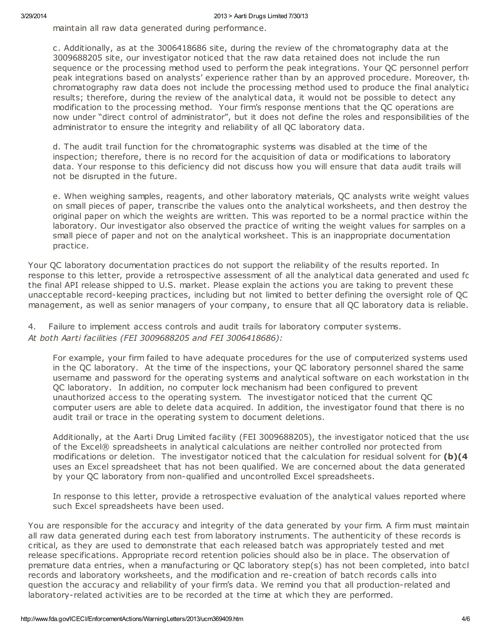maintain all raw data generated during performance.

c. Additionally, as at the 3006418686 site, during the review of the chromatography data at the 3009688205 site, our investigator noticed that the raw data retained does not include the run sequence or the processing method used to perform the peak integrations. Your OC personnel perforr peak integrations based on analysts' experience rather than by an approved procedure. Moreover, the chromatography raw data does not include the processing method used to produce the final analytical results; therefore, during the review of the analytical data, it would not be possible to detect any modification to the processing method. Your firm's response mentions that the QC operations are now under "direct control of administrator", but it does not define the roles and responsibilities of the administrator to ensure the integrity and reliability of all QC laboratory data.

d. The audit trail function for the chromatographic systems was disabled at the time of the inspection; therefore, there is no record for the acquisition of data or modifications to laboratory data. Your response to this deficiency did not discuss how you will ensure that data audit trails will not be disrupted in the future.

e. When weighing samples, reagents, and other laboratory materials, QC analysts write weight values on small pieces of paper, transcribe the values onto the analytical worksheets, and then destroy the original paper on which the weights are written. This was reported to be a normal practice within the laboratory. Our investigator also observed the practice of writing the weight values for samples on a small piece of paper and not on the analytical worksheet. This is an inappropriate documentation practice.

Your QC laboratory documentation practices do not support the reliability of the results reported. In response to this letter, provide a retrospective assessment of all the analytical data generated and used for the final API release shipped to U.S. market. Please explain the actions you are taking to prevent these unacceptable record-keeping practices, including but not limited to better defining the oversight role of QC management, as well as senior managers of your company, to ensure that all QC laboratory data is reliable.

4. Failure to implement access controls and audit trails for laboratory computer systems. At both Aarti facilities (FEI 3009688205 and FEI 3006418686):

For example, your firm failed to have adequate procedures for the use of computerized systems used in the QC laboratory. At the time of the inspections, your QC laboratory personnel shared the same username and password for the operating systems and analytical software on each workstation in the QC laboratory. In addition, no computer lock mechanism had been configured to prevent unauthorized access to the operating system. The investigator noticed that the current QC computer users are able to delete data acquired. In addition, the investigator found that there is no audit trail or trace in the operating system to document deletions.

Additionally, at the Aarti Drug Limited facility (FEI 3009688205), the investigator noticed that the use of the Excel® spreadsheets in analytical calculations are neither controlled nor protected from modifications or deletion. The investigator noticed that the calculation for residual solvent for  $(b)(4)$ uses an Excel spreadsheet that has not been qualified. We are concerned about the data generated by your QC laboratory from non-qualified and uncontrolled Excel spreadsheets.

In response to this letter, provide a retrospective evaluation of the analytical values reported where such Excel spreadsheets have been used.

You are responsible for the accuracy and integrity of the data generated by your firm. A firm must maintain all raw data generated during each test from laboratory instruments. The authenticity of these records is critical, as they are used to demonstrate that each released batch was appropriately tested and met release specifications. Appropriate record retention policies should also be in place. The observation of premature data entries, when a manufacturing or QC laboratory step(s) has not been completed, into batch records and laboratory worksheets, and the modification and re-creation of batch records calls into question the accuracy and reliability of your firm's data. We remind you that all production-related and laboratory-related activities are to be recorded at the time at which they are performed.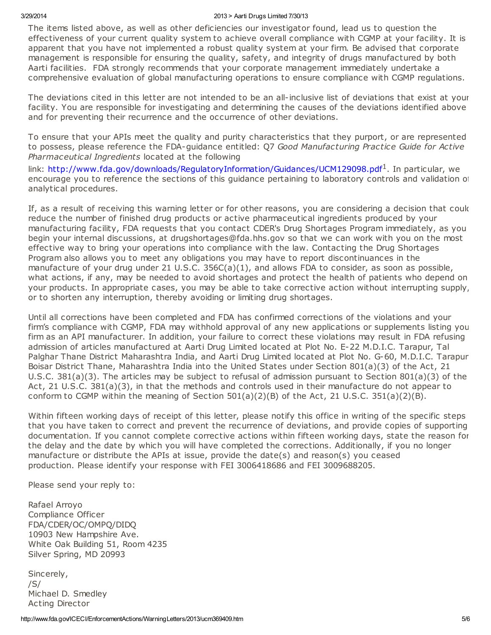#### 3/29/2014 2013 > Aarti Drugs Limited 7/30/13

The items listed above, as well as other deficiencies our investigator found, lead us to question the effectiveness of your current quality system to achieve overall compliance with CGMP at your facility. It is apparent that you have not implemented a robust quality system at your firm. Be advised that corporate management is responsible for ensuring the quality, safety, and integrity of drugs manufactured by both Aarti facilities. FDA strongly recommends that your corporate management immediately undertake a comprehensive evaluation of global manufacturing operations to ensure compliance with CGMP regulations.

The deviations cited in this letter are not intended to be an all-inclusive list of deviations that exist at your facility. You are responsible for investigating and determining the causes of the deviations identified above and for preventing their recurrence and the occurrence of other deviations.

To ensure that your APIs meet the quality and purity characteristics that they purport, or are represented to possess, please reference the FDA-quidance entitled: Q7 Good Manufacturing Practice Guide for Active Pharmaceutical Ingredients located at the following

link: <http://www.fda.gov/downloads/RegulatoryInformation/Guidances/UCM129098.pdf><sup>1</sup>. In particular, we encourage you to reference the sections of this guidance pertaining to laboratory controls and validation of analytical procedures.

If, as a result of receiving this warning letter or for other reasons, you are considering a decision that could reduce the number of finished drug products or active pharmaceutical ingredients produced by your manufacturing facility, FDA requests that you contact CDER's Drug Shortages Program immediately, as you begin your internal discussions, at drugshortages@fda.hhs.gov so that we can work with you on the most effective way to bring your operations into compliance with the law. Contacting the Drug Shortages Program also allows you to meet any obligations you may have to report discontinuances in the manufacture of your drug under 21 U.S.C. 356C(a)(1), and allows FDA to consider, as soon as possible, what actions, if any, may be needed to avoid shortages and protect the health of patients who depend on your products. In appropriate cases, you may be able to take corrective action without interrupting supply, or to shorten any interruption, thereby avoiding or limiting drug shortages.

Until all corrections have been completed and FDA has confirmed corrections of the violations and your firm's compliance with CGMP, FDA may withhold approval of any new applications or supplements listing you firm as an API manufacturer. In addition, your failure to correct these violations may result in FDA refusing admission of articles manufactured at Aarti Drug Limited located at Plot No. E-22 M.D.I.C. Tarapur, Tal Palghar Thane District Maharashtra India, and Aarti Drug Limited located at Plot No. G-60, M.D.I.C. Tarapur, Boisar District Thane, Maharashtra India into the United States under Section 801(a)(3) of the Act, 21 U.S.C. 381(a)(3). The articles may be subject to refusal of admission pursuant to Section 801(a)(3) of the Act, 21 U.S.C. 381(a)(3), in that the methods and controls used in their manufacture do not appear to conform to CGMP within the meaning of Section 501(a)(2)(B) of the Act, 21 U.S.C. 351(a)(2)(B).

Within fifteen working days of receipt of this letter, please notify this office in writing of the specific steps that you have taken to correct and prevent the recurrence of deviations, and provide copies of supporting documentation. If you cannot complete corrective actions within fifteen working days, state the reason for the delay and the date by which you will have completed the corrections. Additionally, if you no longer manufacture or distribute the APIs at issue, provide the date(s) and reason(s) you ceased production. Please identify your response with FEI 3006418686 and FEI 3009688205.

Please send your reply to:

Rafael Arroyo Compliance Officer FDA/CDER/OC/OMPQ/DIDQ 10903 New Hampshire Ave. White Oak Building 51, Room 4235 Silver Spring, MD 20993

Sincerely, /S/ Michael D. Smedley Acting Director